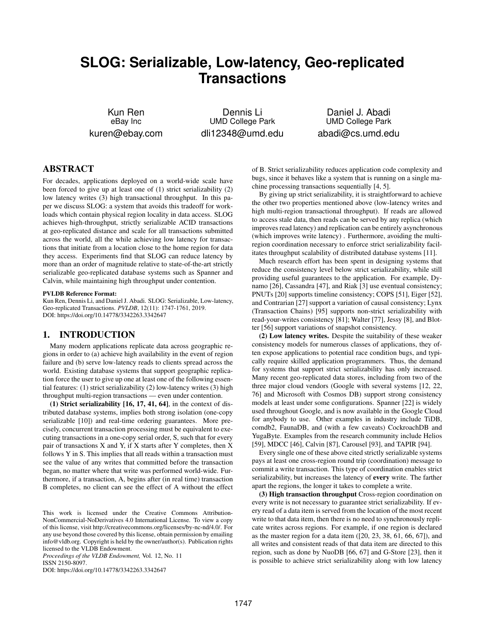# **SLOG: Serializable, Low-latency, Geo-replicated Transactions**

Kun Ren eBay Inc kuren@ebay.com

Dennis Li UMD College Park dli12348@umd.edu

Daniel J. Abadi UMD College Park abadi@cs.umd.edu

# ABSTRACT

For decades, applications deployed on a world-wide scale have been forced to give up at least one of (1) strict serializability (2) low latency writes (3) high transactional throughput. In this paper we discuss SLOG: a system that avoids this tradeoff for workloads which contain physical region locality in data access. SLOG achieves high-throughput, strictly serializable ACID transactions at geo-replicated distance and scale for all transactions submitted across the world, all the while achieving low latency for transactions that initiate from a location close to the home region for data they access. Experiments find that SLOG can reduce latency by more than an order of magnitude relative to state-of-the-art strictly serializable geo-replicated database systems such as Spanner and Calvin, while maintaining high throughput under contention.

#### PVLDB Reference Format:

Kun Ren, Dennis Li, and Daniel J. Abadi. SLOG: Serializable, Low-latency, Geo-replicated Transactions. *PVLDB*, 12(11): 1747-1761, 2019. DOI: https://doi.org/10.14778/3342263.3342647

## 1. INTRODUCTION

Many modern applications replicate data across geographic regions in order to (a) achieve high availability in the event of region failure and (b) serve low-latency reads to clients spread across the world. Existing database systems that support geographic replication force the user to give up one at least one of the following essential features: (1) strict serializability (2) low-latency writes (3) high throughput multi-region transactions — even under contention.

(1) Strict serializability  $[16, 17, 41, 64]$ , in the context of distributed database systems, implies both strong isolation (one-copy serializable [10]) and real-time ordering guarantees. More precisely, concurrent transaction processing must be equivalent to executing transactions in a one-copy serial order, S, such that for every pair of transactions X and Y, if X starts after Y completes, then X follows Y in S. This implies that all reads within a transaction must see the value of any writes that committed before the transaction began, no matter where that write was performed world-wide. Furthermore, if a transaction, A, begins after (in real time) transaction B completes, no client can see the effect of A without the effect

*Proceedings of the VLDB Endowment,* Vol. 12, No. 11 ISSN 2150-8097.

DOI: https://doi.org/10.14778/3342263.3342647

of B. Strict serializability reduces application code complexity and bugs, since it behaves like a system that is running on a single machine processing transactions sequentially [4, 5].

By giving up strict serializability, it is straightforward to achieve the other two properties mentioned above (low-latency writes and high multi-region transactional throughput). If reads are allowed to access stale data, then reads can be served by any replica (which improves read latency) and replication can be entirely asynchronous (which improves write latency) . Furthermore, avoiding the multiregion coordination necessary to enforce strict serializability facilitates throughput scalability of distributed database systems [11].

Much research effort has been spent in designing systems that reduce the consistency level below strict serializability, while still providing useful guarantees to the application. For example, Dynamo [26], Cassandra [47], and Riak [3] use eventual consistency; PNUTs [20] supports timeline consistency; COPS [51], Eiger [52], and Contrarian [27] support a variation of causal consistency; Lynx (Transaction Chains) [95] supports non-strict serializability with read-your-writes consistency [81]; Walter [77], Jessy [8], and Blotter [56] support variations of snapshot consistency.

(2) Low latency writes. Despite the suitability of these weaker consistency models for numerous classes of applications, they often expose applications to potential race condition bugs, and typically require skilled application programmers. Thus, the demand for systems that support strict serializability has only increased. Many recent geo-replicated data stores, including from two of the three major cloud vendors (Google with several systems [12, 22, 76] and Microsoft with Cosmos DB) support strong consistency models at least under some configurations. Spanner [22] is widely used throughout Google, and is now available in the Google Cloud for anybody to use. Other examples in industry include TiDB, comdb2, FaunaDB, and (with a few caveats) CockroachDB and YugaByte. Examples from the research community include Helios [59], MDCC [46], Calvin [87], Carousel [93], and TAPIR [94].

Every single one of these above cited strictly serializable systems pays at least one cross-region round trip (coordination) message to commit a write transaction. This type of coordination enables strict serializability, but increases the latency of every write. The farther apart the regions, the longer it takes to complete a write.

(3) High transaction throughput Cross-region coordination on every write is not necessary to guarantee strict serializability. If every read of a data item is served from the location of the most recent write to that data item, then there is no need to synchronously replicate writes across regions. For example, if one region is declared as the master region for a data item ([20, 23, 38, 61, 66, 67]), and all writes and consistent reads of that data item are directed to this region, such as done by NuoDB [66, 67] and G-Store [23], then it is possible to achieve strict serializability along with low latency

This work is licensed under the Creative Commons Attribution-NonCommercial-NoDerivatives 4.0 International License. To view a copy of this license, visit http://creativecommons.org/licenses/by-nc-nd/4.0/. For any use beyond those covered by this license, obtain permission by emailing info@vldb.org. Copyright is held by the owner/author(s). Publication rights licensed to the VLDB Endowment.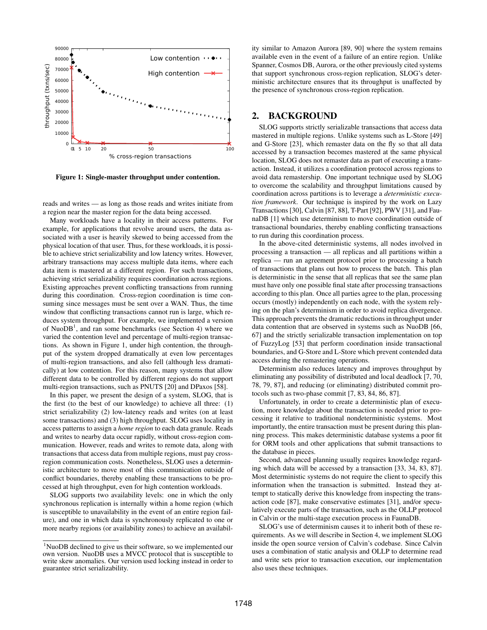

Figure 1: Single-master throughput under contention.

reads and writes — as long as those reads and writes initiate from a region near the master region for the data being accessed.

Many workloads have a locality in their access patterns. For example, for applications that revolve around users, the data associated with a user is heavily skewed to being accessed from the physical location of that user. Thus, for these workloads, it is possible to achieve strict serializability and low latency writes. However, arbitrary transactions may access multiple data items, where each data item is mastered at a different region. For such transactions, achieving strict serializability requires coordination across regions. Existing approaches prevent conflicting transactions from running during this coordination. Cross-region coordination is time consuming since messages must be sent over a WAN. Thus, the time window that conflicting transactions cannot run is large, which reduces system throughput. For example, we implemented a version of Nuo $DB<sup>1</sup>$ , and ran some benchmarks (see Section 4) where we varied the contention level and percentage of multi-region transactions. As shown in Figure 1, under high contention, the throughput of the system dropped dramatically at even low percentages of multi-region transactions, and also fell (although less dramatically) at low contention. For this reason, many systems that allow different data to be controlled by different regions do not support multi-region transactions, such as PNUTS [20] and DPaxos [58].

In this paper, we present the design of a system, SLOG, that is the first (to the best of our knowledge) to achieve all three: (1) strict serializability (2) low-latency reads and writes (on at least some transactions) and (3) high throughput. SLOG uses locality in access patterns to assign a *home region* to each data granule. Reads and writes to nearby data occur rapidly, without cross-region communication. However, reads and writes to remote data, along with transactions that access data from multiple regions, must pay crossregion communication costs. Nonetheless, SLOG uses a deterministic architecture to move most of this communication outside of conflict boundaries, thereby enabling these transactions to be processed at high throughput, even for high contention workloads.

SLOG supports two availability levels: one in which the only synchronous replication is internally within a home region (which is susceptible to unavailability in the event of an entire region failure), and one in which data is synchronously replicated to one or more nearby regions (or availability zones) to achieve an availability similar to Amazon Aurora [89, 90] where the system remains available even in the event of a failure of an entire region. Unlike Spanner, Cosmos DB, Aurora, or the other previously cited systems that support synchronous cross-region replication, SLOG's deterministic architecture ensures that its throughput is unaffected by the presence of synchronous cross-region replication.

## 2. BACKGROUND

SLOG supports strictly serializable transactions that access data mastered in multiple regions. Unlike systems such as L-Store [49] and G-Store [23], which remaster data on the fly so that all data accessed by a transaction becomes mastered at the same physical location, SLOG does not remaster data as part of executing a transaction. Instead, it utilizes a coordination protocol across regions to avoid data remastership. One important technique used by SLOG to overcome the scalability and throughput limitations caused by coordination across partitions is to leverage a *deterministic execution framework*. Our technique is inspired by the work on Lazy Transactions [30], Calvin [87, 88], T-Part [92], PWV [31], and FaunaDB [1] which use determinism to move coordination outside of transactional boundaries, thereby enabling conflicting transactions to run during this coordination process.

In the above-cited deterministic systems, all nodes involved in processing a transaction — all replicas and all partitions within a replica — run an agreement protocol prior to processing a batch of transactions that plans out how to process the batch. This plan is deterministic in the sense that all replicas that see the same plan must have only one possible final state after processing transactions according to this plan. Once all parties agree to the plan, processing occurs (mostly) independently on each node, with the system relying on the plan's determinism in order to avoid replica divergence. This approach prevents the dramatic reductions in throughput under data contention that are observed in systems such as NuoDB [66, 67] and the strictly serializable transaction implementation on top of FuzzyLog [53] that perform coordination inside transactional boundaries, and G-Store and L-Store which prevent contended data access during the remastering operations.

Determinism also reduces latency and improves throughput by eliminating any possibility of distributed and local deadlock [7, 70, 78, 79, 87], and reducing (or eliminating) distributed commit protocols such as two-phase commit [7, 83, 84, 86, 87].

Unfortunately, in order to create a deterministic plan of execution, more knowledge about the transaction is needed prior to processing it relative to traditional nondeterministic systems. Most importantly, the entire transaction must be present during this planning process. This makes deterministic database systems a poor fit for ORM tools and other applications that submit transactions to the database in pieces.

Second, advanced planning usually requires knowledge regarding which data will be accessed by a transaction [33, 34, 83, 87]. Most deterministic systems do not require the client to specify this information when the transaction is submitted. Instead they attempt to statically derive this knowledge from inspecting the transaction code [87], make conservative estimates [31], and/or speculatively execute parts of the transaction, such as the OLLP protocol in Calvin or the multi-stage execution process in FaunaDB.

SLOG's use of determinism causes it to inherit both of these requirements. As we will describe in Section 4, we implement SLOG inside the open source version of Calvin's codebase. Since Calvin uses a combination of static analysis and OLLP to determine read and write sets prior to transaction execution, our implementation also uses these techniques.

<sup>&</sup>lt;sup>1</sup>NuoDB declined to give us their software, so we implemented our own version. NuoDB uses a MVCC protocol that is susceptible to write skew anomalies. Our version used locking instead in order to guarantee strict serializability.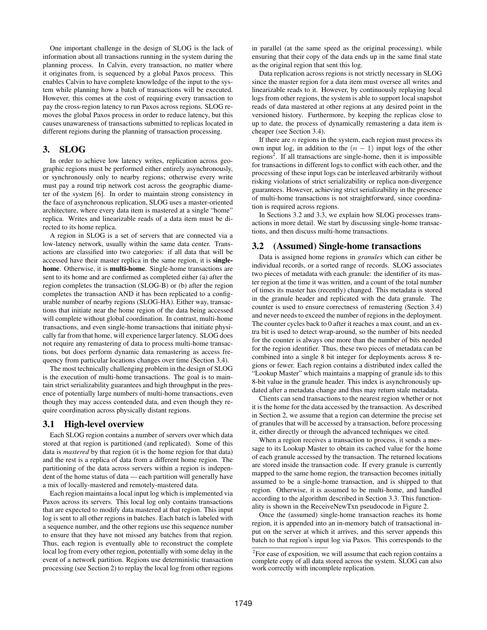One important challenge in the design of SLOG is the lack of information about all transactions running in the system during the planning process. In Calvin, every transaction, no matter where it originates from, is sequenced by a global Paxos process. This enables Calvin to have complete knowledge of the input to the system while planning how a batch of transactions will be executed. However, this comes at the cost of requiring every transaction to pay the cross-region latency to run Paxos across regions. SLOG removes the global Paxos process in order to reduce latency, but this causes unawareness of transactions submitted to replicas located in different regions during the planning of transaction processing.

## 3. SLOG

In order to achieve low latency writes, replication across geographic regions must be performed either entirely asynchronously, or synchronously only to nearby regions; otherwise every write must pay a round trip network cost across the geographic diameter of the system [6]. In order to maintain strong consistency in the face of asynchronous replication, SLOG uses a master-oriented architecture, where every data item is mastered at a single "home" replica. Writes and linearizable reads of a data item must be directed to its home replica.

A region in SLOG is a set of servers that are connected via a low-latency network, usually within the same data center. Transactions are classified into two categories: if all data that will be accessed have their master replica in the same region, it is singlehome. Otherwise, it is multi-home. Single-home transactions are sent to its home and are confirmed as completed either (a) after the region completes the transaction (SLOG-B) or (b) after the region completes the transaction AND it has been replicated to a configurable number of nearby regions (SLOG-HA). Either way, transactions that initiate near the home region of the data being accessed will complete without global coordination. In contrast, multi-home transactions, and even single-home transactions that initiate physically far from that home, will experience larger latency. SLOG does not require any remastering of data to process multi-home transactions, but does perform dynamic data remastering as access frequency from particular locations changes over time (Section 3.4).

The most technically challenging problem in the design of SLOG is the execution of multi-home transactions. The goal is to maintain strict serializability guarantees and high throughput in the presence of potentially large numbers of multi-home transactions, even though they may access contended data, and even though they require coordination across physically distant regions.

## 3.1 High-level overview

Each SLOG region contains a number of servers over which data stored at that region is partitioned (and replicated). Some of this data is *mastered* by that region (it is the home region for that data) and the rest is a replica of data from a different home region. The partitioning of the data across servers within a region is independent of the home status of data — each partition will generally have a mix of locally-mastered and remotely-mastered data.

Each region maintains a local input log which is implemented via Paxos across its servers. This local log only contains transactions that are expected to modify data mastered at that region. This input log is sent to all other regions in batches. Each batch is labeled with a sequence number, and the other regions use this sequence number to ensure that they have not missed any batches from that region. Thus, each region is eventually able to reconstruct the complete local log from every other region, potentially with some delay in the event of a network partition. Regions use deterministic transaction processing (see Section 2) to replay the local log from other regions

in parallel (at the same speed as the original processing), while ensuring that their copy of the data ends up in the same final state as the original region that sent this log.

Data replication across regions is not strictly necessary in SLOG since the master region for a data item must oversee all writes and linearizable reads to it. However, by continuously replaying local logs from other regions, the system is able to support local snapshot reads of data mastered at other regions at any desired point in the versioned history. Furthermore, by keeping the replicas close to up to date, the process of dynamically remastering a data item is cheaper (see Section 3.4).

If there are  $n$  regions in the system, each region must process its own input log, in addition to the  $(n - 1)$  input logs of the other regions<sup>2</sup>. If all transactions are single-home, then it is impossible for transactions in different logs to conflict with each other, and the processing of these input logs can be interleaved arbitrarily without risking violations of strict serializability or replica non-divergence guarantees. However, achieving strict serializability in the presence of multi-home transactions is not straightforward, since coordination is required across regions.

In Sections 3.2 and 3.3, we explain how SLOG processes transactions in more detail. We start by discussing single-home transactions, and then discuss multi-home transactions.

#### 3.2 (Assumed) Single-home transactions

Data is assigned home regions in *granules* which can either be individual records, or a sorted range of records. SLOG associates two pieces of metadata with each granule: the identifier of its master region at the time it was written, and a count of the total number of times its master has (recently) changed. This metadata is stored in the granule header and replicated with the data granule. The counter is used to ensure correctness of remastering (Section 3.4) and never needs to exceed the number of regions in the deployment. The counter cycles back to 0 after it reaches a max count, and an extra bit is used to detect wrap-around, so the number of bits needed for the counter is always one more than the number of bits needed for the region identifier. Thus, these two pieces of metadata can be combined into a single 8 bit integer for deployments across 8 regions or fewer. Each region contains a distributed index called the "Lookup Master" which maintains a mapping of granule ids to this 8-bit value in the granule header. This index is asynchronously updated after a metadata change and thus may return stale metadata.

Clients can send transactions to the nearest region whether or not it is the home for the data accessed by the transaction. As described in Section 2, we assume that a region can determine the precise set of granules that will be accessed by a transaction, before processing it, either directly or through the advanced techniques we cited.

When a region receives a transaction to process, it sends a message to its Lookup Master to obtain its cached value for the home of each granule accessed by the transaction. The returned locations are stored inside the transaction code. If every granule is currently mapped to the same home region, the transaction becomes initially assumed to be a single-home transaction, and is shipped to that region. Otherwise, it is assumed to be multi-home, and handled according to the algorithm described in Section 3.3. This functionality is shown in the ReceiveNewTxn pseudocode in Figure 2.

Once the (assumed) single-home transaction reaches its home region, it is appended into an in-memory batch of transactional input on the server at which it arrives, and this server appends this batch to that region's input log via Paxos. This corresponds to the

 $2$ For ease of exposition, we will assume that each region contains a complete copy of all data stored across the system. SLOG can also work correctly with incomplete replication.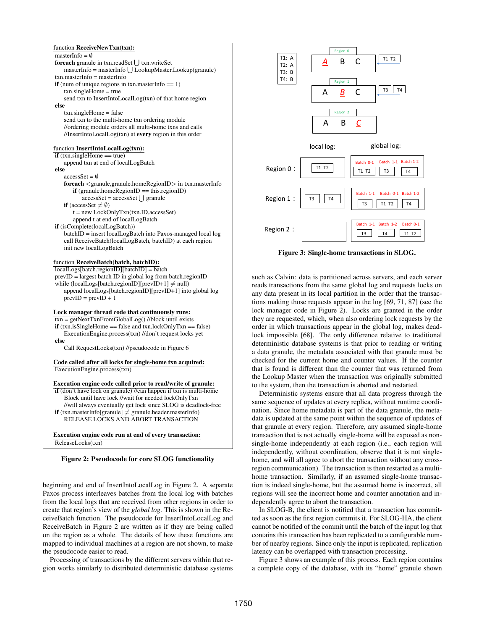#### function ReceiveNewTxn(txn):

#### masterInfo  $=$  Ø

| <b>foreach</b> granule in txn.readSet     txn.writeSet               |
|----------------------------------------------------------------------|
| $masterInfo = masterInfo \mid \text{JLookupMaster. Lookup(granule)}$ |
| $txn.masterInfo = masterInfo$                                        |
| <b>if</b> (num of unique regions in $\tan x$ master Info = = 1)      |
| $txn.\nsingleHome = true$                                            |
| send txn to InsertIntoLocalLog(txn) of that home region              |
| else                                                                 |
|                                                                      |

txn.singleHome = false send txn to the multi-home txn ordering module //ordering module orders all multi-home txns and calls //InsertIntoLocalLog(txn) at every region in this order

#### function InsertIntoLocalLog(txn):

 $\overline{\textbf{if}}$  (txn.singleHome == true) append txn at end of localLogBatch

else

## $accessSet = \emptyset$

foreach <granule,granule.homeRegionID> in txn.masterInfo  $if$  (granule.home $RegionID == this-regionID)$ ) accessSet = accessSet U granule **if** (accessSet  $\neq \emptyset$ )  $t = new LockOnlyTxn(txn.ID,accessSet)$ 

append t at end of localLogBatch

if (isComplete(localLogBatch))

batchID = insert localLogBatch into Paxos-managed local log call ReceiveBatch(localLogBatch, batchID) at each region init new localLogBatch

## function ReceiveBatch(batch, batchID):

localLogs[batch.regionID][batchID] = batch prevID = largest batch ID in global log from batch.regionID while (localLogs[batch.regionID][prevID+1]  $\neq$  null) append localLogs[batch.regionID][prevID+1] into global log  $prevID = prevID + 1$ 

#### Lock manager thread code that continuously runs: txn = getNextTxnFromGlobalLog() //block until exists

 $if$  (txn.isSingleHome == false and txn.lockOnlyTxn == false) ExecutionEngine.process(txn) //don't request locks yet else

Call RequestLocks(txn) //pseudocode in Figure 6

Code called after all locks for single-home txn acquired: ExecutionEngine.process(txn)

Execution engine code called prior to read/write of granule: if (don't have lock on granule) //can happen if txn is multi-home Block until have lock //wait for needed lockOnlyTxn //will always eventually get lock since SLOG is deadlock-free **if** (txn.masterInfo[granule]  $\neq$  granule.header.masterInfo) RELEASE LOCKS AND ABORT TRANSACTION

Execution engine code run at end of every transaction: ReleaseLocks(txn)

#### Figure 2: Pseudocode for core SLOG functionality

beginning and end of InsertIntoLocalLog in Figure 2. A separate Paxos process interleaves batches from the local log with batches from the local logs that are received from other regions in order to create that region's view of the *global log*. This is shown in the ReceiveBatch function. The pseudocode for InsertIntoLocalLog and ReceiveBatch in Figure 2 are written as if they are being called on the region as a whole. The details of how these functions are mapped to individual machines at a region are not shown, to make the pseudocode easier to read.

Processing of transactions by the different servers within that region works similarly to distributed deterministic database systems



Figure 3: Single-home transactions in SLOG.

such as Calvin: data is partitioned across servers, and each server reads transactions from the same global log and requests locks on any data present in its local partition in the order that the transactions making those requests appear in the log [69, 71, 87] (see the lock manager code in Figure 2). Locks are granted in the order they are requested, which, when also ordering lock requests by the order in which transactions appear in the global log, makes deadlock impossible [68]. The only difference relative to traditional deterministic database systems is that prior to reading or writing a data granule, the metadata associated with that granule must be checked for the current home and counter values. If the counter that is found is different than the counter that was returned from the Lookup Master when the transaction was originally submitted to the system, then the transaction is aborted and restarted.

Deterministic systems ensure that all data progress through the same sequence of updates at every replica, without runtime coordination. Since home metadata is part of the data granule, the metadata is updated at the same point within the sequence of updates of that granule at every region. Therefore, any assumed single-home transaction that is not actually single-home will be exposed as nonsingle-home independently at each region (i.e., each region will independently, without coordination, observe that it is not singlehome, and will all agree to abort the transaction without any crossregion communication). The transaction is then restarted as a multihome transaction. Similarly, if an assumed single-home transaction is indeed single-home, but the assumed home is incorrect, all regions will see the incorrect home and counter annotation and independently agree to abort the transaction.

In SLOG-B, the client is notified that a transaction has committed as soon as the first region commits it. For SLOG-HA, the client cannot be notified of the commit until the batch of the input log that contains this transaction has been replicated to a configurable number of nearby regions. Since only the input is replicated, replication latency can be overlapped with transaction processing.

Figure 3 shows an example of this process. Each region contains a complete copy of the database, with its "home" granule shown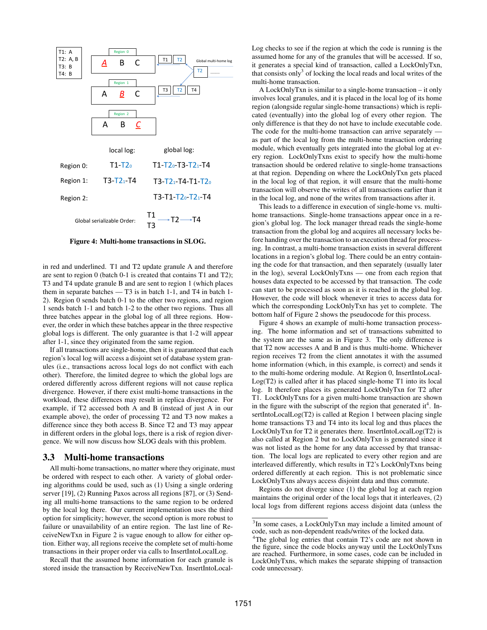

Figure 4: Multi-home transactions in SLOG.

in red and underlined. T1 and T2 update granule A and therefore are sent to region 0 (batch 0-1 is created that contains T1 and T2); T3 and T4 update granule B and are sent to region 1 (which places them in separate batches — T3 is in batch 1-1, and T4 in batch 1- 2). Region 0 sends batch 0-1 to the other two regions, and region 1 sends batch 1-1 and batch 1-2 to the other two regions. Thus all three batches appear in the global log of all three regions. However, the order in which these batches appear in the three respective global logs is different. The only guarantee is that 1-2 will appear after 1-1, since they originated from the same region.

If all transactions are single-home, then it is guaranteed that each region's local log will access a disjoint set of database system granules (i.e., transactions across local logs do not conflict with each other). Therefore, the limited degree to which the global logs are ordered differently across different regions will not cause replica divergence. However, if there exist multi-home transactions in the workload, these differences may result in replica divergence. For example, if T2 accessed both A and B (instead of just A in our example above), the order of processing T2 and T3 now makes a difference since they both access B. Since T2 and T3 may appear in different orders in the global logs, there is a risk of region divergence. We will now discuss how SLOG deals with this problem.

#### 3.3 Multi-home transactions

All multi-home transactions, no matter where they originate, must be ordered with respect to each other. A variety of global ordering algorithms could be used, such as (1) Using a single ordering server [19], (2) Running Paxos across all regions [87], or (3) Sending all multi-home transactions to the same region to be ordered by the local log there. Our current implementation uses the third option for simplicity; however, the second option is more robust to failure or unavailability of an entire region. The last line of ReceiveNewTxn in Figure 2 is vague enough to allow for either option. Either way, all regions receive the complete set of multi-home transactions in their proper order via calls to InsertIntoLocalLog.

Recall that the assumed home information for each granule is stored inside the transaction by ReceiveNewTxn. InsertIntoLocalLog checks to see if the region at which the code is running is the assumed home for any of the granules that will be accessed. If so, it generates a special kind of transaction, called a LockOnlyTxn, that consists only $3$  of locking the local reads and local writes of the multi-home transaction.

A LockOnlyTxn is similar to a single-home transaction – it only involves local granules, and it is placed in the local log of its home region (alongside regular single-home transactions) which is replicated (eventually) into the global log of every other region. The only difference is that they do not have to include executable code. The code for the multi-home transaction can arrive separately as part of the local log from the multi-home transaction ordering module, which eventually gets integrated into the global log at every region. LockOnlyTxns exist to specify how the multi-home transaction should be ordered relative to single-home transactions at that region. Depending on where the LockOnlyTxn gets placed in the local log of that region, it will ensure that the multi-home transaction will observe the writes of all transactions earlier than it in the local log, and none of the writes from transactions after it.

This leads to a difference in execution of single-home vs. multihome transactions. Single-home transactions appear once in a region's global log. The lock manager thread reads the single-home transaction from the global log and acquires all necessary locks before handing over the transaction to an execution thread for processing. In contrast, a multi-home transaction exists in several different locations in a region's global log. There could be an entry containing the code for that transaction, and then separately (usually later in the log), several LockOnlyTxns — one from each region that houses data expected to be accessed by that transaction. The code can start to be processed as soon as it is reached in the global log. However, the code will block whenever it tries to access data for which the corresponding LockOnlyTxn has yet to complete. The bottom half of Figure 2 shows the pseudocode for this process.

Figure 4 shows an example of multi-home transaction processing. The home information and set of transactions submitted to the system are the same as in Figure 3. The only difference is that T2 now accesses A and B and is thus multi-home. Whichever region receives T2 from the client annotates it with the assumed home information (which, in this example, is correct) and sends it to the multi-home ordering module. At Region 0, InsertIntoLocal-Log(T2) is called after it has placed single-home T1 into its local log. It therefore places its generated LockOnlyTxn for T2 after T1. LockOnlyTxns for a given multi-home transaction are shown in the figure with the subscript of the region that generated  $it<sup>4</sup>$ . InsertIntoLocalLog(T2) is called at Region 1 between placing single home transactions T3 and T4 into its local log and thus places the LockOnlyTxn for T2 it generates there. InsertIntoLocalLog(T2) is also called at Region 2 but no LockOnlyTxn is generated since it was not listed as the home for any data accessed by that transaction. The local logs are replicated to every other region and are interleaved differently, which results in T2's LockOnlyTxns being ordered differently at each region. This is not problematic since LockOnlyTxns always access disjoint data and thus commute.

Regions do not diverge since (1) the global log at each region maintains the original order of the local logs that it interleaves, (2) local logs from different regions access disjoint data (unless the

<sup>&</sup>lt;sup>3</sup>In some cases, a LockOnlyTxn may include a limited amount of code, such as non-dependent reads/writes of the locked data.

<sup>&</sup>lt;sup>4</sup>The global log entries that contain T2's code are not shown in the figure, since the code blocks anyway until the LockOnlyTxns are reached. Furthermore, in some cases, code can be included in LockOnlyTxns, which makes the separate shipping of transaction code unnecessary.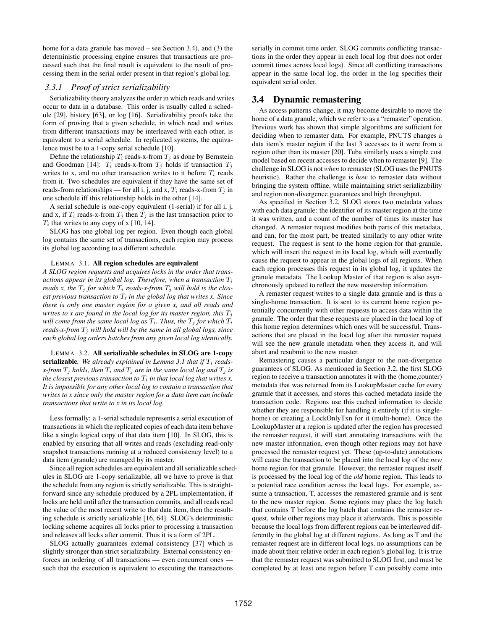home for a data granule has moved – see Section 3.4), and (3) the deterministic processing engine ensures that transactions are processed such that the final result is equivalent to the result of processing them in the serial order present in that region's global log.

## *3.3.1 Proof of strict serializability*

Serializability theory analyzes the order in which reads and writes occur to data in a database. This order is usually called a schedule [29], history [63], or log [16]. Serializability proofs take the form of proving that a given schedule, in which read and writes from different transactions may be interleaved with each other, is equivalent to a serial schedule. In replicated systems, the equivalence must be to a 1-copy serial schedule [10].

Define the relationship  $T_i$  reads-x-from  $T_j$  as done by Bernstein and Goodman [14]:  $T_i$  reads-x-from  $T_j$  holds if transaction  $T_j$ writes to x, and no other transaction writes to it before  $T_i$  reads from it. Two schedules are equivalent if they have the same set of reads-from relationships — for all i, j, and x,  $T_i$  reads-x-from  $T_j$  in one schedule iff this relationship holds in the other [14].

A serial schedule is one-copy equivalent (1-serial) if for all i, j, and x, if  $T_i$  reads-x-from  $T_j$  then  $T_j$  is the last transaction prior to  $T_i$  that writes to any copy of x [10, 14].

SLOG has one global log per region. Even though each global log contains the same set of transactions, each region may process its global log according to a different schedule.

#### LEMMA 3.1. All region schedules are equivalent

*A SLOG region requests and acquires locks in the order that transactions appear in its global log. Therefore, when a transaction*  $T_i$ *reads x, the*  $T_j$  *for which*  $T_i$  *reads-x-from*  $T_j$  *will hold is the closest previous transaction to*  $T_i$  *in the global log that writes x. Since there is only one master region for a given x, and all reads and writes to x are found in the local log for its master region, this*  $T_i$ *will come from the same local log as*  $T_i$ *. Thus, the*  $T_j$  *for which*  $T_i$ *reads-x-from*  $T_i$  *will hold will be the same in all global logs, since each global log orders batches from any given local log identically.*

LEMMA 3.2. All serializable schedules in SLOG are 1-copy serializable. We already explained in Lemma 3.1 that if  $T_i$  reads*x*-from  $T_i$  *holds, then*  $T_i$  *and*  $T_j$  *are in the same local log and*  $T_j$  *is the closest previous transaction to*  $T_i$  *in that local log that writes x. It is impossible for any other local log to contain a transaction that writes to x since only the master region for a data item can include transactions that write to x in its local log.*

Less formally: a 1-serial schedule represents a serial execution of transactions in which the replicated copies of each data item behave like a single logical copy of that data item [10]. In SLOG, this is enabled by ensuring that all writes and reads (excluding read-only snapshot transactions running at a reduced consistency level) to a data item (granule) are managed by its master.

Since all region schedules are equivalent and all serializable schedules in SLOG are 1-copy serializable, all we have to prove is that the schedule from any region is strictly serializable. This is straightforward since any schedule produced by a 2PL implementation, if locks are held until after the transaction commits, and all reads read the value of the most recent write to that data item, then the resulting schedule is strictly serializable [16, 64]. SLOG's deterministic locking scheme acquires all locks prior to processing a transaction and releases all locks after commit. Thus it is a form of 2PL.

SLOG actually guarantees external consistency [37] which is slightly stronger than strict serializability. External consistency enforces an ordering of all transactions — even concurrent ones such that the execution is equivalent to executing the transactions serially in commit time order. SLOG commits conflicting transactions in the order they appear in each local log (but does not order commit times across local logs). Since all conflicting transactions appear in the same local log, the order in the log specifies their equivalent serial order.

## 3.4 Dynamic remastering

As access patterns change, it may become desirable to move the home of a data granule, which we refer to as a "remaster" operation. Previous work has shown that simple algorithms are sufficient for deciding when to remaster data. For example, PNUTS changes a data item's master region if the last 3 accesses to it were from a region other than its master [20]. Tuba similarly uses a simple cost model based on recent accesses to decide when to remaster [9]. The challenge in SLOG is not *when* to remaster (SLOG uses the PNUTS heuristic). Rather the challenge is *how* to remaster data without bringing the system offline, while maintaining strict serializability and region non-divergence guarantees and high throughput.

As specified in Section 3.2, SLOG stores two metadata values with each data granule: the identifier of its master region at the time it was written, and a count of the number of times its master has changed. A remaster request modifies both parts of this metadata, and can, for the most part, be treated similarly to any other write request. The request is sent to the home region for that granule, which will insert the request in its local log, which will eventually cause the request to appear in the global logs of all regions. When each region processes this request in its global log, it updates the granule metadata. The Lookup Master of that region is also asynchronously updated to reflect the new mastership information.

A remaster request writes to a single data granule and is thus a single-home transaction. It is sent to its current home region potentially concurrently with other requests to access data within the granule. The order that these requests are placed in the local log of this home region determines which ones will be successful. Transactions that are placed in the local log after the remaster request will see the new granule metadata when they access it, and will abort and resubmit to the new master.

Remastering causes a particular danger to the non-divergence guarantees of SLOG. As mentioned in Section 3.2, the first SLOG region to receive a transaction annotates it with the (home,counter) metadata that was returned from its LookupMaster cache for every granule that it accesses, and stores this cached metadata inside the transaction code. Regions use this cached information to decide whether they are responsible for handling it entirely (if it is singlehome) or creating a LockOnlyTxn for it (multi-home). Once the LookupMaster at a region is updated after the region has processed the remaster request, it will start annotating transactions with the new master information, even though other regions may not have processed the remaster request yet. These (up-to-date) annotations will cause the transaction to be placed into the local log of the *new* home region for that granule. However, the remaster request itself is processed by the local log of the *old* home region. This leads to a potential race condition across the local logs. For example, assume a transaction, T, accesses the remastered granule and is sent to the new master region. Some regions may place the log batch that contains T before the log batch that contains the remaster request, while other regions may place it afterwards. This is possible because the local logs from different regions can be interleaved differently in the global log at different regions. As long as T and the remaster request are in different local logs, no assumptions can be made about their relative order in each region's global log. It is true that the remaster request was submitted to SLOG first, and must be completed by at least one region before T can possibly come into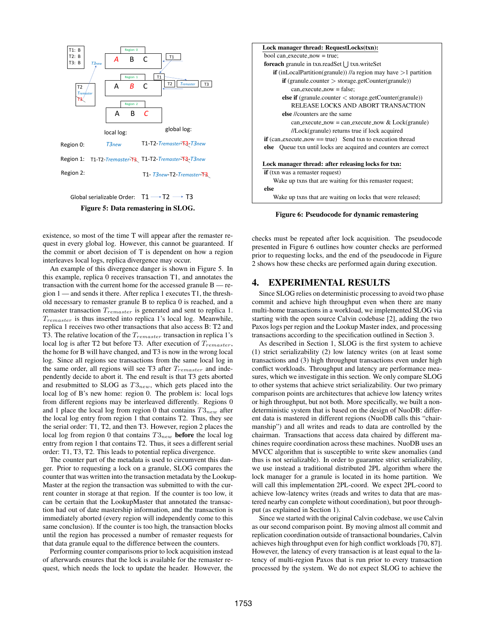

## Global serializable Order:  $T1 \rightarrow T2 \rightarrow T3$ Figure 5: Data remastering in SLOG.

existence, so most of the time T will appear after the remaster request in every global log. However, this cannot be guaranteed. If the commit or abort decision of T is dependent on how a region interleaves local logs, replica divergence may occur.

An example of this divergence danger is shown in Figure 5. In this example, replica 0 receives transaction T1, and annotates the transaction with the current home for the accessed granule B — region 1 — and sends it there. After replica 1 executes T1, the threshold necessary to remaster granule B to replica 0 is reached, and a remaster transaction  $T_{remainder}$  is generated and sent to replica 1.  $T_{remainder}$  is thus inserted into replica 1's local log. Meanwhile, replica 1 receives two other transactions that also access B: T2 and T3. The relative location of the  $T_{remainder}$  transaction in replica 1's local log is after T2 but before T3. After execution of  $T_{remainder}$ , the home for B will have changed, and T3 is now in the wrong local log. Since all regions see transactions from the same local log in the same order, all regions will see T3 after  $T_{remainder}$  and independently decide to abort it. The end result is that T3 gets aborted and resubmitted to SLOG as  $T3_{new}$ , which gets placed into the local log of B's new home: region 0. The problem is: local logs from different regions may be interleaved differently. Regions 0 and 1 place the local log from region 0 that contains  $T3_{new}$  after the local log entry from region 1 that contains T2. Thus, they see the serial order: T1, T2, and then T3. However, region 2 places the local log from region 0 that contains  $T3_{new}$  before the local log entry from region 1 that contains T2. Thus, it sees a different serial order: T1, T3, T2. This leads to potential replica divergence.

The counter part of the metadata is used to circumvent this danger. Prior to requesting a lock on a granule, SLOG compares the counter that was written into the transaction metadata by the Lookup-Master at the region the transaction was submitted to with the current counter in storage at that region. If the counter is too low, it can be certain that the LookupMaster that annotated the transaction had out of date mastership information, and the transaction is immediately aborted (every region will independently come to this same conclusion). If the counter is too high, the transaction blocks until the region has processed a number of remaster requests for that data granule equal to the difference between the counters.

Performing counter comparisons prior to lock acquisition instead of afterwards ensures that the lock is available for the remaster request, which needs the lock to update the header. However, the



checks must be repeated after lock acquisition. The pseudocode presented in Figure 6 outlines how counter checks are performed prior to requesting locks, and the end of the pseudocode in Figure 2 shows how these checks are performed again during execution.

## 4. EXPERIMENTAL RESULTS

Since SLOG relies on deterministic processing to avoid two phase commit and achieve high throughput even when there are many multi-home transactions in a workload, we implemented SLOG via starting with the open source Calvin codebase [2], adding the two Paxos logs per region and the Lookup Master index, and processing transactions according to the specification outlined in Section 3.

As described in Section 1, SLOG is the first system to achieve (1) strict serializability (2) low latency writes (on at least some transactions and (3) high throughput transactions even under high conflict workloads. Throughput and latency are performance measures, which we investigate in this section. We only compare SLOG to other systems that achieve strict serializability. Our two primary comparison points are architectures that achieve low latency writes or high throughput, but not both. More specifically, we built a nondeterministic system that is based on the design of NuoDB: different data is mastered in different regions (NuoDB calls this "chairmanship") and all writes and reads to data are controlled by the chairman. Transactions that access data chaired by different machines require coordination across these machines. NuoDB uses an MVCC algorithm that is susceptible to write skew anomalies (and thus is not serializable). In order to guarantee strict serializability, we use instead a traditional distributed 2PL algorithm where the lock manager for a granule is located in its home partition. We will call this implementation 2PL-coord. We expect 2PL-coord to achieve low-latency writes (reads and writes to data that are mastered nearby can complete without coordination), but poor throughput (as explained in Section 1).

Since we started with the original Calvin codebase, we use Calvin as our second comparison point. By moving almost all commit and replication coordination outside of transactional boundaries, Calvin achieves high throughput even for high conflict workloads [70, 87]. However, the latency of every transaction is at least equal to the latency of multi-region Paxos that is run prior to every transaction processed by the system. We do not expect SLOG to achieve the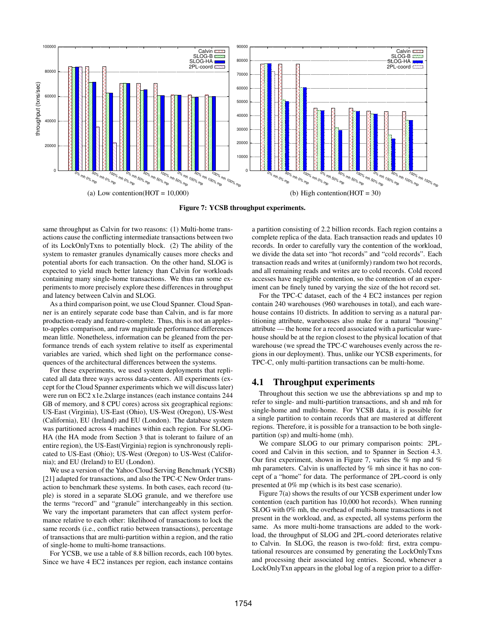

Figure 7: YCSB throughput experiments.

same throughput as Calvin for two reasons: (1) Multi-home transactions cause the conflicting intermediate transactions between two of its LockOnlyTxns to potentially block. (2) The ability of the system to remaster granules dynamically causes more checks and potential aborts for each transaction. On the other hand, SLOG is expected to yield much better latency than Calvin for workloads containing many single-home transactions. We thus ran some experiments to more precisely explore these differences in throughput and latency between Calvin and SLOG.

As a third comparison point, we use Cloud Spanner. Cloud Spanner is an entirely separate code base than Calvin, and is far more production-ready and feature-complete. Thus, this is not an applesto-apples comparison, and raw magnitude performance differences mean little. Nonetheless, information can be gleaned from the performance trends of each system relative to itself as experimental variables are varied, which shed light on the performance consequences of the architectural differences between the systems.

For these experiments, we used system deployments that replicated all data three ways across data-centers. All experiments (except for the Cloud Spanner experiments which we will discuss later) were run on EC2 x1e.2xlarge instances (each instance contains 244 GB of memory, and 8 CPU cores) across six geographical regions: US-East (Virginia), US-East (Ohio), US-West (Oregon), US-West (California), EU (Ireland) and EU (London). The database system was partitioned across 4 machines within each region. For SLOG-HA (the HA mode from Section 3 that is tolerant to failure of an entire region), the US-East(Virginia) region is synchronously replicated to US-East (Ohio); US-West (Oregon) to US-West (California); and EU (Ireland) to EU (London).

We use a version of the Yahoo Cloud Serving Benchmark (YCSB) [21] adapted for transactions, and also the TPC-C New Order transaction to benchmark these systems. In both cases, each record (tuple) is stored in a separate SLOG granule, and we therefore use the terms "record" and "granule" interchangeably in this section. We vary the important parameters that can affect system performance relative to each other: likelihood of transactions to lock the same records (i.e., conflict ratio between transactions), percentage of transactions that are multi-partition within a region, and the ratio of single-home to multi-home transactions.

For YCSB, we use a table of 8.8 billion records, each 100 bytes. Since we have 4 EC2 instances per region, each instance contains a partition consisting of 2.2 billion records. Each region contains a complete replica of the data. Each transaction reads and updates 10 records. In order to carefully vary the contention of the workload, we divide the data set into "hot records" and "cold records". Each transaction reads and writes at (uniformly) random two hot records, and all remaining reads and writes are to cold records. Cold record accesses have negligible contention, so the contention of an experiment can be finely tuned by varying the size of the hot record set.

For the TPC-C dataset, each of the 4 EC2 instances per region contain 240 warehouses (960 warehouses in total), and each warehouse contains 10 districts. In addition to serving as a natural partitioning attribute, warehouses also make for a natural "housing" attribute — the home for a record associated with a particular warehouse should be at the region closest to the physical location of that warehouse (we spread the TPC-C warehouses evenly across the regions in our deployment). Thus, unlike our YCSB experiments, for TPC-C, only multi-partition transactions can be multi-home.

## 4.1 Throughput experiments

Throughout this section we use the abbreviations sp and mp to refer to single- and multi-partition transactions, and sh and mh for single-home and multi-home. For YCSB data, it is possible for a single partition to contain records that are mastered at different regions. Therefore, it is possible for a transaction to be both singlepartition (sp) and multi-home (mh).

We compare SLOG to our primary comparison points: 2PLcoord and Calvin in this section, and to Spanner in Section 4.3. Our first experiment, shown in Figure 7, varies the  $%$  mp and  $%$ mh parameters. Calvin is unaffected by % mh since it has no concept of a "home" for data. The performance of 2PL-coord is only presented at 0% mp (which is its best case scenario).

Figure 7(a) shows the results of our YCSB experiment under low contention (each partition has 10,000 hot records). When running SLOG with 0% mh, the overhead of multi-home transactions is not present in the workload, and, as expected, all systems perform the same. As more multi-home transactions are added to the workload, the throughput of SLOG and 2PL-coord deteriorates relative to Calvin. In SLOG, the reason is two-fold: first, extra computational resources are consumed by generating the LockOnlyTxns and processing their associated log entries. Second, whenever a LockOnlyTxn appears in the global log of a region prior to a differ-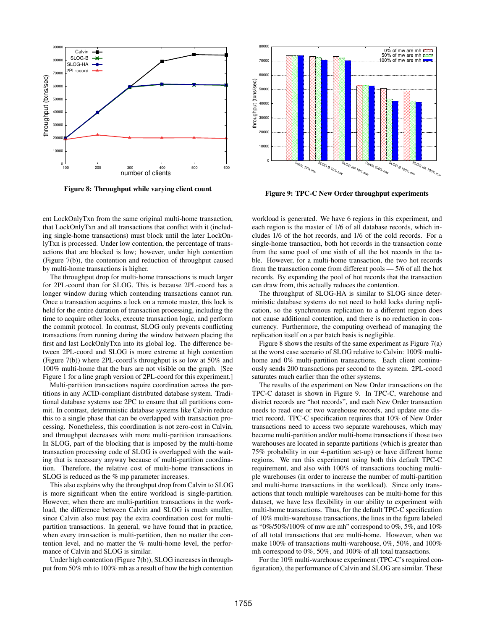

Figure 8: Throughput while varying client count



Figure 9: TPC-C New Order throughput experiments

ent LockOnlyTxn from the same original multi-home transaction, that LockOnlyTxn and all transactions that conflict with it (including single-home transactions) must block until the later LockOnlyTxn is processed. Under low contention, the percentage of transactions that are blocked is low; however, under high contention (Figure 7(b)), the contention and reduction of throughput caused by multi-home transactions is higher.

The throughput drop for multi-home transactions is much larger for 2PL-coord than for SLOG. This is because 2PL-coord has a longer window during which contending transactions cannot run. Once a transaction acquires a lock on a remote master, this lock is held for the entire duration of transaction processing, including the time to acquire other locks, execute transaction logic, and perform the commit protocol. In contrast, SLOG only prevents conflicting transactions from running during the window between placing the first and last LockOnlyTxn into its global log. The difference between 2PL-coord and SLOG is more extreme at high contention (Figure 7(b)) where 2PL-coord's throughput is so low at 50% and 100% multi-home that the bars are not visible on the graph. [See Figure 1 for a line graph version of 2PL-coord for this experiment.]

Multi-partition transactions require coordination across the partitions in any ACID-compliant distributed database system. Traditional database systems use 2PC to ensure that all partitions commit. In contrast, deterministic database systems like Calvin reduce this to a single phase that can be overlapped with transaction processing. Nonetheless, this coordination is not zero-cost in Calvin, and throughput decreases with more multi-partition transactions. In SLOG, part of the blocking that is imposed by the multi-home transaction processing code of SLOG is overlapped with the waiting that is necessary anyway because of multi-partition coordination. Therefore, the relative cost of multi-home transactions in SLOG is reduced as the % mp parameter increases.

This also explains why the throughput drop from Calvin to SLOG is more significant when the entire workload is single-partition. However, when there are multi-partition transactions in the workload, the difference between Calvin and SLOG is much smaller, since Calvin also must pay the extra coordination cost for multipartition transactions. In general, we have found that in practice, when every transaction is multi-partition, then no matter the contention level, and no matter the % multi-home level, the performance of Calvin and SLOG is similar.

Under high contention (Figure 7(b)), SLOG increases in throughput from 50% mh to 100% mh as a result of how the high contention

workload is generated. We have 6 regions in this experiment, and each region is the master of 1/6 of all database records, which includes 1/6 of the hot records, and 1/6 of the cold records. For a single-home transaction, both hot records in the transaction come from the same pool of one sixth of all the hot records in the table. However, for a multi-home transaction, the two hot records from the transaction come from different pools — 5/6 of all the hot records. By expanding the pool of hot records that the transaction can draw from, this actually reduces the contention.

The throughput of SLOG-HA is similar to SLOG since deterministic database systems do not need to hold locks during replication, so the synchronous replication to a different region does not cause additional contention, and there is no reduction in concurrency. Furthermore, the computing overhead of managing the replication itself on a per batch basis is negligible.

Figure 8 shows the results of the same experiment as Figure 7(a) at the worst case scenario of SLOG relative to Calvin: 100% multihome and 0% multi-partition transactions. Each client continuously sends 200 transactions per second to the system. 2PL-coord saturates much earlier than the other systems.

The results of the experiment on New Order transactions on the TPC-C dataset is shown in Figure 9. In TPC-C, warehouse and district records are "hot records", and each New Order transaction needs to read one or two warehouse records, and update one district record. TPC-C specification requires that 10% of New Order transactions need to access two separate warehouses, which may become multi-partition and/or multi-home transactions if those two warehouses are located in separate partitions (which is greater than 75% probability in our 4-partition set-up) or have different home regions. We ran this experiment using both this default TPC-C requirement, and also with 100% of transactions touching multiple warehouses (in order to increase the number of multi-partition and multi-home transactions in the workload). Since only transactions that touch multiple warehouses can be multi-home for this dataset, we have less flexibility in our ability to experiment with multi-home transactions. Thus, for the default TPC-C specification of 10% multi-warehouse transactions, the lines in the figure labeled as "0%/50%/100% of mw are mh" correspond to 0%, 5%, and 10% of all total transactions that are multi-home. However, when we make 100% of transactions multi-warehouse, 0%, 50%, and 100% mh correspond to 0%, 50%, and 100% of all total transactions.

For the 10% multi-warehouse experiment (TPC-C's required configuration), the performance of Calvin and SLOG are similar. These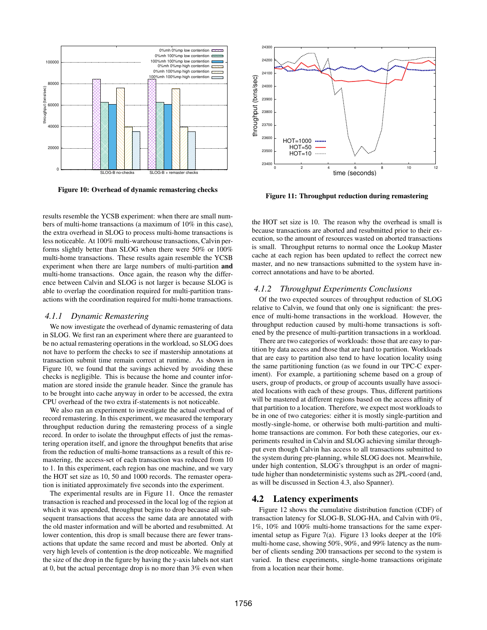

Figure 10: Overhead of dynamic remastering checks

results resemble the YCSB experiment: when there are small numbers of multi-home transactions (a maximum of 10% in this case), the extra overhead in SLOG to process multi-home transactions is less noticeable. At 100% multi-warehouse transactions, Calvin performs slightly better than SLOG when there were 50% or 100% multi-home transactions. These results again resemble the YCSB experiment when there are large numbers of multi-partition and multi-home transactions. Once again, the reason why the difference between Calvin and SLOG is not larger is because SLOG is able to overlap the coordination required for multi-partition transactions with the coordination required for multi-home transactions.

#### *4.1.1 Dynamic Remastering*

We now investigate the overhead of dynamic remastering of data in SLOG. We first ran an experiment where there are guaranteed to be no actual remastering operations in the workload, so SLOG does not have to perform the checks to see if mastership annotations at transaction submit time remain correct at runtime. As shown in Figure 10, we found that the savings achieved by avoiding these checks is negligible. This is because the home and counter information are stored inside the granule header. Since the granule has to be brought into cache anyway in order to be accessed, the extra CPU overhead of the two extra if-statements is not noticeable.

We also ran an experiment to investigate the actual overhead of record remastering. In this experiment, we measured the temporary throughput reduction during the remastering process of a single record. In order to isolate the throughput effects of just the remastering operation itself, and ignore the throughput benefits that arise from the reduction of multi-home transactions as a result of this remastering, the access-set of each transaction was reduced from 10 to 1. In this experiment, each region has one machine, and we vary the HOT set size as 10, 50 and 1000 records. The remaster operation is initiated approximately five seconds into the experiment.

The experimental results are in Figure 11. Once the remaster transaction is reached and processed in the local log of the region at which it was appended, throughput begins to drop because all subsequent transactions that access the same data are annotated with the old master information and will be aborted and resubmitted. At lower contention, this drop is small because there are fewer transactions that update the same record and must be aborted. Only at very high levels of contention is the drop noticeable. We magnified the size of the drop in the figure by having the y-axis labels not start at 0, but the actual percentage drop is no more than 3% even when



Figure 11: Throughput reduction during remastering

the HOT set size is 10. The reason why the overhead is small is because transactions are aborted and resubmitted prior to their execution, so the amount of resources wasted on aborted transactions is small. Throughput returns to normal once the Lookup Master cache at each region has been updated to reflect the correct new master, and no new transactions submitted to the system have incorrect annotations and have to be aborted.

## *4.1.2 Throughput Experiments Conclusions*

Of the two expected sources of throughput reduction of SLOG relative to Calvin, we found that only one is significant: the presence of multi-home transactions in the workload. However, the throughput reduction caused by multi-home transactions is softened by the presence of multi-partition transactions in a workload.

There are two categories of workloads: those that are easy to partition by data access and those that are hard to partition. Workloads that are easy to partition also tend to have location locality using the same partitioning function (as we found in our TPC-C experiment). For example, a partitioning scheme based on a group of users, group of products, or group of accounts usually have associated locations with each of these groups. Thus, different partitions will be mastered at different regions based on the access affinity of that partition to a location. Therefore, we expect most workloads to be in one of two categories: either it is mostly single-partition and mostly-single-home, or otherwise both multi-partition and multihome transactions are common. For both these categories, our experiments resulted in Calvin and SLOG achieving similar throughput even though Calvin has access to all transactions submitted to the system during pre-planning, while SLOG does not. Meanwhile, under high contention, SLOG's throughput is an order of magnitude higher than nondeterministic systems such as 2PL-coord (and, as will be discussed in Section 4.3, also Spanner).

### 4.2 Latency experiments

Figure 12 shows the cumulative distribution function (CDF) of transaction latency for SLOG-B, SLOG-HA, and Calvin with 0%, 1%, 10% and 100% multi-home transactions for the same experimental setup as Figure 7(a). Figure 13 looks deeper at the 10% multi-home case, showing 50%, 90%, and 99% latency as the number of clients sending 200 transactions per second to the system is varied. In these experiments, single-home transactions originate from a location near their home.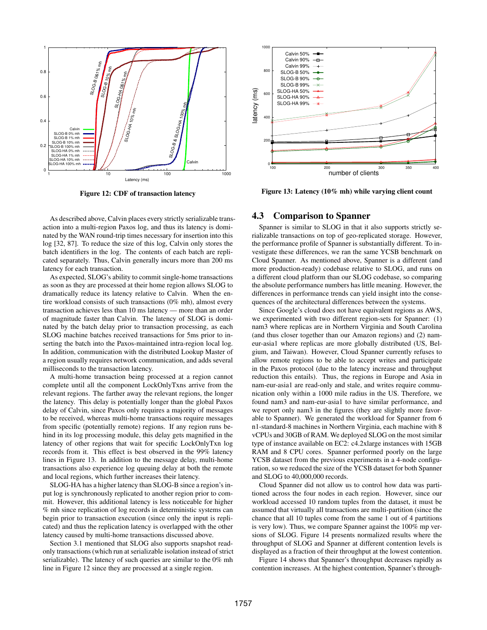

Figure 12: CDF of transaction latency

As described above, Calvin places every strictly serializable transaction into a multi-region Paxos log, and thus its latency is dominated by the WAN round-trip times necessary for insertion into this log [32, 87]. To reduce the size of this log, Calvin only stores the batch identifiers in the log. The contents of each batch are replicated separately. Thus, Calvin generally incurs more than 200 ms latency for each transaction.

As expected, SLOG's ability to commit single-home transactions as soon as they are processed at their home region allows SLOG to dramatically reduce its latency relative to Calvin. When the entire workload consists of such transactions (0% mh), almost every transaction achieves less than 10 ms latency — more than an order of magnitude faster than Calvin. The latency of SLOG is dominated by the batch delay prior to transaction processing, as each SLOG machine batches received transactions for 5ms prior to inserting the batch into the Paxos-maintained intra-region local log. In addition, communication with the distributed Lookup Master of a region usually requires network communication, and adds several milliseconds to the transaction latency.

A multi-home transaction being processed at a region cannot complete until all the component LockOnlyTxns arrive from the relevant regions. The farther away the relevant regions, the longer the latency. This delay is potentially longer than the global Paxos delay of Calvin, since Paxos only requires a majority of messages to be received, whereas multi-home transactions require messages from specific (potentially remote) regions. If any region runs behind in its log processing module, this delay gets magnified in the latency of other regions that wait for specific LockOnlyTxn log records from it. This effect is best observed in the 99% latency lines in Figure 13. In addition to the message delay, multi-home transactions also experience log queuing delay at both the remote and local regions, which further increases their latency.

SLOG-HA has a higher latency than SLOG-B since a region's input log is synchronously replicated to another region prior to commit. However, this additional latency is less noticeable for higher % mh since replication of log records in deterministic systems can begin prior to transaction execution (since only the input is replicated) and thus the replication latency is overlapped with the other latency caused by multi-home transactions discussed above.

Section 3.1 mentioned that SLOG also supports snapshot readonly transactions (which run at serializable isolation instead of strict serializable). The latency of such queries are similar to the 0% mh line in Figure 12 since they are processed at a single region.



Figure 13: Latency (10% mh) while varying client count

## 4.3 Comparison to Spanner

Spanner is similar to SLOG in that it also supports strictly serializable transactions on top of geo-replicated storage. However, the performance profile of Spanner is substantially different. To investigate these differences, we ran the same YCSB benchmark on Cloud Spanner. As mentioned above, Spanner is a different (and more production-ready) codebase relative to SLOG, and runs on a different cloud platform than our SLOG codebase, so comparing the absolute performance numbers has little meaning. However, the differences in performance trends can yield insight into the consequences of the architectural differences between the systems.

Since Google's cloud does not have equivalent regions as AWS, we experimented with two different region-sets for Spanner: (1) nam3 where replicas are in Northern Virginia and South Carolina (and thus closer together than our Amazon regions) and (2) nameur-asia1 where replicas are more globally distributed (US, Belgium, and Taiwan). However, Cloud Spanner currently refuses to allow remote regions to be able to accept writes and participate in the Paxos protocol (due to the latency increase and throughput reduction this entails). Thus, the regions in Europe and Asia in nam-eur-asia1 are read-only and stale, and writes require communication only within a 1000 mile radius in the US. Therefore, we found nam3 and nam-eur-asia1 to have similar performance, and we report only nam3 in the figures (they are slightly more favorable to Spanner). We generated the workload for Spanner from 6 n1-standard-8 machines in Northern Virginia, each machine with 8 vCPUs and 30GB of RAM. We deployed SLOG on the most similar type of instance available on EC2: c4.2xlarge instances with 15GB RAM and 8 CPU cores. Spanner performed poorly on the large YCSB dataset from the previous experiments in a 4-node configuration, so we reduced the size of the YCSB dataset for both Spanner and SLOG to 40,000,000 records.

Cloud Spanner did not allow us to control how data was partitioned across the four nodes in each region. However, since our workload accessed 10 random tuples from the dataset, it must be assumed that virtually all transactions are multi-partition (since the chance that all 10 tuples come from the same 1 out of 4 partitions is very low). Thus, we compare Spanner against the 100% mp versions of SLOG. Figure 14 presents normalized results where the throughput of SLOG and Spanner at different contention levels is displayed as a fraction of their throughput at the lowest contention.

Figure 14 shows that Spanner's throughput decreases rapidly as contention increases. At the highest contention, Spanner's through-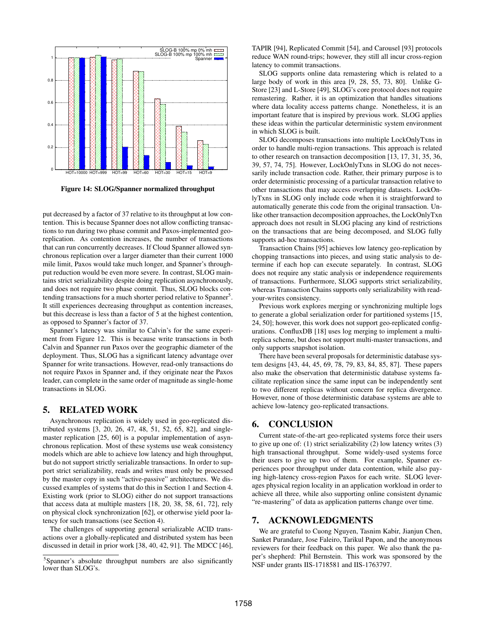

Figure 14: SLOG/Spanner normalized throughput

put decreased by a factor of 37 relative to its throughput at low contention. This is because Spanner does not allow conflicting transactions to run during two phase commit and Paxos-implemented georeplication. As contention increases, the number of transactions that can run concurrently decreases. If Cloud Spanner allowed synchronous replication over a larger diameter than their current 1000 mile limit, Paxos would take much longer, and Spanner's throughput reduction would be even more severe. In contrast, SLOG maintains strict serializability despite doing replication asynchronously, and does not require two phase commit. Thus, SLOG blocks contending transactions for a much shorter period relative to Spanner<sup>5</sup>. It still experiences decreasing throughput as contention increases, but this decrease is less than a factor of 5 at the highest contention, as opposed to Spanner's factor of 37.

Spanner's latency was similar to Calvin's for the same experiment from Figure 12. This is because write transactions in both Calvin and Spanner run Paxos over the geographic diameter of the deployment. Thus, SLOG has a significant latency advantage over Spanner for write transactions. However, read-only transactions do not require Paxos in Spanner and, if they originate near the Paxos leader, can complete in the same order of magnitude as single-home transactions in SLOG.

## 5. RELATED WORK

Asynchronous replication is widely used in geo-replicated distributed systems [3, 20, 26, 47, 48, 51, 52, 65, 82], and singlemaster replication [25, 60] is a popular implementation of asynchronous replication. Most of these systems use weak consistency models which are able to achieve low latency and high throughput, but do not support strictly serializable transactions. In order to support strict serializability, reads and writes must only be processed by the master copy in such "active-passive" architectures. We discussed examples of systems that do this in Section 1 and Section 4. Existing work (prior to SLOG) either do not support transactions that access data at multiple masters [18, 20, 38, 58, 61, 72], rely on physical clock synchronization [62], or otherwise yield poor latency for such transactions (see Section 4).

The challenges of supporting general serializable ACID transactions over a globally-replicated and distributed system has been discussed in detail in prior work [38, 40, 42, 91]. The MDCC [46],

TAPIR [94], Replicated Commit [54], and Carousel [93] protocols reduce WAN round-trips; however, they still all incur cross-region latency to commit transactions.

SLOG supports online data remastering which is related to a large body of work in this area [9, 28, 55, 73, 80]. Unlike G-Store [23] and L-Store [49], SLOG's core protocol does not require remastering. Rather, it is an optimization that handles situations where data locality access patterns change. Nonetheless, it is an important feature that is inspired by previous work. SLOG applies these ideas within the particular deterministic system environment in which SLOG is built.

SLOG decomposes transactions into multiple LockOnlyTxns in order to handle multi-region transactions. This approach is related to other research on transaction decomposition [13, 17, 31, 35, 36, 39, 57, 74, 75]. However, LockOnlyTxns in SLOG do not necessarily include transaction code. Rather, their primary purpose is to order deterministic processing of a particular transaction relative to other transactions that may access overlapping datasets. LockOnlyTxns in SLOG only include code when it is straightforward to automatically generate this code from the original transaction. Unlike other transaction decomposition approaches, the LockOnlyTxn approach does not result in SLOG placing any kind of restrictions on the transactions that are being decomposed, and SLOG fully supports ad-hoc transactions.

Transaction Chains [95] achieves low latency geo-replication by chopping transactions into pieces, and using static analysis to determine if each hop can execute separately. In contrast, SLOG does not require any static analysis or independence requirements of transactions. Furthermore, SLOG supports strict serializability, whereas Transaction Chains supports only serializability with readyour-writes consistency.

Previous work explores merging or synchronizing multiple logs to generate a global serialization order for partitioned systems [15, 24, 50]; however, this work does not support geo-replicated configurations. ConfluxDB [18] uses log merging to implement a multireplica scheme, but does not support multi-master transactions, and only supports snapshot isolation.

There have been several proposals for deterministic database system designs [43, 44, 45, 69, 78, 79, 83, 84, 85, 87]. These papers also make the observation that deterministic database systems facilitate replication since the same input can be independently sent to two different replicas without concern for replica divergence. However, none of those deterministic database systems are able to achieve low-latency geo-replicated transactions.

# 6. CONCLUSION

Current state-of-the-art geo-replicated systems force their users to give up one of: (1) strict serializability (2) low latency writes (3) high transactional throughput. Some widely-used systems force their users to give up two of them. For example, Spanner experiences poor throughput under data contention, while also paying high-latency cross-region Paxos for each write. SLOG leverages physical region locality in an application workload in order to achieve all three, while also supporting online consistent dynamic "re-mastering" of data as application patterns change over time.

## 7. ACKNOWLEDGMENTS

We are grateful to Cuong Nguyen, Tasnim Kabir, Jianjun Chen, Sanket Purandare, Jose Faleiro, Tarikul Papon, and the anonymous reviewers for their feedback on this paper. We also thank the paper's shepherd: Phil Bernstein. This work was sponsored by the NSF under grants IIS-1718581 and IIS-1763797.

<sup>&</sup>lt;sup>5</sup>Spanner's absolute throughput numbers are also significantly lower than SLOG's.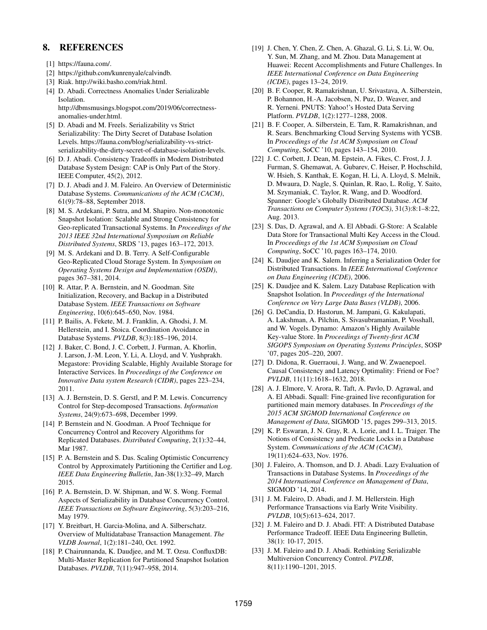# 8. REFERENCES

- [1] https://fauna.com/.
- [2] https://github.com/kunrenyale/calvindb.
- [3] Riak. http://wiki.basho.com/riak.html.
- [4] D. Abadi. Correctness Anomalies Under Serializable Isolation. http://dbmsmusings.blogspot.com/2019/06/correctnessanomalies-under.html.
- [5] D. Abadi and M. Freels. Serializability vs Strict Serializability: The Dirty Secret of Database Isolation Levels. https://fauna.com/blog/serializability-vs-strictserializability-the-dirty-secret-of-database-isolation-levels.
- [6] D. J. Abadi. Consistency Tradeoffs in Modern Distributed Database System Design: CAP is Only Part of the Story. IEEE Computer, 45(2), 2012.
- [7] D. J. Abadi and J. M. Faleiro. An Overview of Deterministic Database Systems. *Communications of the ACM (CACM)*, 61(9):78–88, September 2018.
- [8] M. S. Ardekani, P. Sutra, and M. Shapiro. Non-monotonic Snapshot Isolation: Scalable and Strong Consistency for Geo-replicated Transactional Systems. In *Proceedings of the 2013 IEEE 32nd International Symposium on Reliable Distributed Systems*, SRDS '13, pages 163–172, 2013.
- [9] M. S. Ardekani and D. B. Terry. A Self-Configurable Geo-Replicated Cloud Storage System. In *Symposium on Operating Systems Design and Implementation (OSDI)*, pages 367–381, 2014.
- [10] R. Attar, P. A. Bernstein, and N. Goodman. Site Initialization, Recovery, and Backup in a Distributed Database System. *IEEE Transactions on Software Engineering*, 10(6):645–650, Nov. 1984.
- [11] P. Bailis, A. Fekete, M. J. Franklin, A. Ghodsi, J. M. Hellerstein, and I. Stoica. Coordination Avoidance in Database Systems. *PVLDB*, 8(3):185–196, 2014.
- [12] J. Baker, C. Bond, J. C. Corbett, J. Furman, A. Khorlin, J. Larson, J.-M. Leon, Y. Li, A. Lloyd, and V. Yushprakh. Megastore: Providing Scalable, Highly Available Storage for Interactive Services. In *Proceedings of the Conference on Innovative Data system Research (CIDR)*, pages 223–234, 2011.
- [13] A. J. Bernstein, D. S. Gerstl, and P. M. Lewis. Concurrency Control for Step-decomposed Transactions. *Information Systems*, 24(9):673–698, December 1999.
- [14] P. Bernstein and N. Goodman. A Proof Technique for Concurrency Control and Recovery Algorithms for Replicated Databases. *Distributed Computing*, 2(1):32–44, Mar 1987.
- [15] P. A. Bernstein and S. Das. Scaling Optimistic Concurrency Control by Approximately Partitioning the Certifier and Log. *IEEE Data Engineering Bulletin*, Jan-38(1):32–49, March 2015.
- [16] P. A. Bernstein, D. W. Shipman, and W. S. Wong. Formal Aspects of Serializability in Database Concurrency Control. *IEEE Transactions on Software Engineering*, 5(3):203–216, May 1979.
- [17] Y. Breitbart, H. Garcia-Molina, and A. Silberschatz. Overview of Multidatabase Transaction Management. *The VLDB Journal*, 1(2):181–240, Oct. 1992.
- [18] P. Chairunnanda, K. Daudjee, and M. T. Ozsu. ConfluxDB: Multi-Master Replication for Partitioned Snapshot Isolation Databases. *PVLDB*, 7(11):947–958, 2014.
- [19] J. Chen, Y. Chen, Z. Chen, A. Ghazal, G. Li, S. Li, W. Ou, Y. Sun, M. Zhang, and M. Zhou. Data Management at Huawei: Recent Accomplishments and Future Challenges. In *IEEE International Conference on Data Engineering (ICDE)*, pages 13–24, 2019.
- [20] B. F. Cooper, R. Ramakrishnan, U. Srivastava, A. Silberstein, P. Bohannon, H.-A. Jacobsen, N. Puz, D. Weaver, and R. Yerneni. PNUTS: Yahoo!'s Hosted Data Serving Platform. *PVLDB*, 1(2):1277–1288, 2008.
- [21] B. F. Cooper, A. Silberstein, E. Tam, R. Ramakrishnan, and R. Sears. Benchmarking Cloud Serving Systems with YCSB. In *Proceedings of the 1st ACM Symposium on Cloud Computing*, SoCC '10, pages 143–154, 2010.
- [22] J. C. Corbett, J. Dean, M. Epstein, A. Fikes, C. Frost, J. J. Furman, S. Ghemawat, A. Gubarev, C. Heiser, P. Hochschild, W. Hsieh, S. Kanthak, E. Kogan, H. Li, A. Lloyd, S. Melnik, D. Mwaura, D. Nagle, S. Quinlan, R. Rao, L. Rolig, Y. Saito, M. Szymaniak, C. Taylor, R. Wang, and D. Woodford. Spanner: Google's Globally Distributed Database. *ACM Transactions on Computer Systems (TOCS)*, 31(3):8:1–8:22, Aug. 2013.
- [23] S. Das, D. Agrawal, and A. El Abbadi. G-Store: A Scalable Data Store for Transactional Multi Key Access in the Cloud. In *Proceedings of the 1st ACM Symposium on Cloud Computing*, SoCC '10, pages 163–174, 2010.
- [24] K. Daudjee and K. Salem. Inferring a Serialization Order for Distributed Transactions. In *IEEE International Conference on Data Engineering (ICDE)*, 2006.
- [25] K. Daudjee and K. Salem. Lazy Database Replication with Snapshot Isolation. In *Proceedings of the International Conference on Very Large Data Bases (VLDB)*, 2006.
- [26] G. DeCandia, D. Hastorun, M. Jampani, G. Kakulapati, A. Lakshman, A. Pilchin, S. Sivasubramanian, P. Vosshall, and W. Vogels. Dynamo: Amazon's Highly Available Key-value Store. In *Proceedings of Twenty-first ACM SIGOPS Symposium on Operating Systems Principles*, SOSP '07, pages 205–220, 2007.
- [27] D. Didona, R. Guerraoui, J. Wang, and W. Zwaenepoel. Causal Consistency and Latency Optimality: Friend or Foe? *PVLDB*, 11(11):1618–1632, 2018.
- [28] A. J. Elmore, V. Arora, R. Taft, A. Pavlo, D. Agrawal, and A. El Abbadi. Squall: Fine-grained live reconfiguration for partitioned main memory databases. In *Proceedings of the 2015 ACM SIGMOD International Conference on Management of Data*, SIGMOD '15, pages 299–313, 2015.
- [29] K. P. Eswaran, J. N. Gray, R. A. Lorie, and I. L. Traiger. The Notions of Consistency and Predicate Locks in a Database System. *Communications of the ACM (CACM)*, 19(11):624–633, Nov. 1976.
- [30] J. Faleiro, A. Thomson, and D. J. Abadi. Lazy Evaluation of Transactions in Database Systems. In *Proceedings of the 2014 International Conference on Management of Data*, SIGMOD '14, 2014.
- [31] J. M. Faleiro, D. Abadi, and J. M. Hellerstein. High Performance Transactions via Early Write Visibility. *PVLDB*, 10(5):613–624, 2017.
- [32] J. M. Faleiro and D. J. Abadi. FIT: A Distributed Database Performance Tradeoff. IEEE Data Engineering Bulletin, 38(1): 10-17, 2015.
- [33] J. M. Faleiro and D. J. Abadi. Rethinking Serializable Multiversion Concurrency Control. *PVLDB*, 8(11):1190–1201, 2015.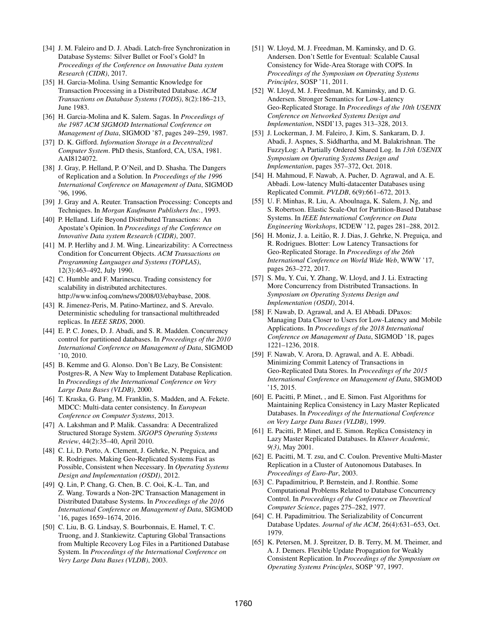- [34] J. M. Faleiro and D. J. Abadi. Latch-free Synchronization in Database Systems: Silver Bullet or Fool's Gold? In *Proceedings of the Conference on Innovative Data system Research (CIDR)*, 2017.
- [35] H. Garcia-Molina. Using Semantic Knowledge for Transaction Processing in a Distributed Database. *ACM Transactions on Database Systems (TODS)*, 8(2):186–213, June 1983.
- [36] H. Garcia-Molina and K. Salem. Sagas. In *Proceedings of the 1987 ACM SIGMOD International Conference on Management of Data*, SIGMOD '87, pages 249–259, 1987.
- [37] D. K. Gifford. *Information Storage in a Decentralized Computer System*. PhD thesis, Stanford, CA, USA, 1981. AAI8124072.
- [38] J. Gray, P. Helland, P. O'Neil, and D. Shasha. The Dangers of Replication and a Solution. In *Proceedings of the 1996 International Conference on Management of Data*, SIGMOD '96, 1996.
- [39] J. Gray and A. Reuter. Transaction Processing: Concepts and Techniques. In *Morgan Kaufmann Publishers Inc.*, 1993.
- [40] P. Helland. Life Beyond Distributed Transactions: An Apostate's Opinion. In *Proceedings of the Conference on Innovative Data system Research (CIDR)*, 2007.
- [41] M. P. Herlihy and J. M. Wing. Linearizability: A Correctness Condition for Concurrent Objects. *ACM Transactions on Programming Languages and Systems (TOPLAS)*, 12(3):463–492, July 1990.
- [42] C. Humble and F. Marinescu. Trading consistency for scalability in distributed architectures. http://www.infoq.com/news/2008/03/ebaybase, 2008.
- [43] R. Jimenez-Peris, M. Patino-Martinez, and S. Arevalo. Deterministic scheduling for transactional multithreaded replicas. In *IEEE SRDS*, 2000.
- [44] E. P. C. Jones, D. J. Abadi, and S. R. Madden. Concurrency control for partitioned databases. In *Proceedings of the 2010 International Conference on Management of Data*, SIGMOD '10, 2010.
- [45] B. Kemme and G. Alonso. Don't Be Lazy, Be Consistent: Postgres-R, A New Way to Implement Database Replication. In *Proceedings of the International Conference on Very Large Data Bases (VLDB)*, 2000.
- [46] T. Kraska, G. Pang, M. Franklin, S. Madden, and A. Fekete. MDCC: Multi-data center consistency. In *European Conference on Computer Systems*, 2013.
- [47] A. Lakshman and P. Malik. Cassandra: A Decentralized Structured Storage System. *SIGOPS Operating Systems Review*, 44(2):35–40, April 2010.
- [48] C. Li, D. Porto, A. Clement, J. Gehrke, N. Preguica, and R. Rodrigues. Making Geo-Replicated Systems Fast as Possible, Consistent when Necessary. In *Operating Systems Design and Implementation (OSDI)*, 2012.
- [49] Q. Lin, P. Chang, G. Chen, B. C. Ooi, K.-L. Tan, and Z. Wang. Towards a Non-2PC Transaction Management in Distributed Database Systems. In *Proceedings of the 2016 International Conference on Management of Data*, SIGMOD '16, pages 1659–1674, 2016.
- [50] C. Liu, B. G. Lindsay, S. Bourbonnais, E. Hamel, T. C. Truong, and J. Stankiewitz. Capturing Global Transactions from Multiple Recovery Log Files in a Partitioned Database System. In *Proceedings of the International Conference on Very Large Data Bases (VLDB)*, 2003.
- [51] W. Lloyd, M. J. Freedman, M. Kaminsky, and D. G. Andersen. Don't Settle for Eventual: Scalable Causal Consistency for Wide-Area Storage with COPS. In *Proceedings of the Symposium on Operating Systems Principles*, SOSP '11, 2011.
- [52] W. Lloyd, M. J. Freedman, M. Kaminsky, and D. G. Andersen. Stronger Semantics for Low-Latency Geo-Replicated Storage. In *Proceedings of the 10th USENIX Conference on Networked Systems Design and Implementation*, NSDI'13, pages 313–328, 2013.
- [53] J. Lockerman, J. M. Faleiro, J. Kim, S. Sankaram, D. J. Abadi, J. Aspnes, S. Siddhartha, and M. Balakrishnan. The FuzzyLog: A Partially Ordered Shared Log. In *13th USENIX Symposium on Operating Systems Design and Implementation*, pages 357–372, Oct. 2018.
- [54] H. Mahmoud, F. Nawab, A. Pucher, D. Agrawal, and A. E. Abbadi. Low-latency Multi-datacenter Databases using Replicated Commit. *PVLDB*, 6(9):661–672, 2013.
- [55] U. F. Minhas, R. Liu, A. Aboulnaga, K. Salem, J. Ng, and S. Robertson. Elastic Scale-Out for Partition-Based Database Systems. In *IEEE International Conference on Data Engineering Workshops*, ICDEW '12, pages 281–288, 2012.
- [56] H. Moniz, J. a. Leitão, R. J. Dias, J. Gehrke, N. Preguiça, and R. Rodrigues. Blotter: Low Latency Transactions for Geo-Replicated Storage. In *Proceedings of the 26th International Conference on World Wide Web*, WWW '17, pages 263–272, 2017.
- [57] S. Mu, Y. Cui, Y. Zhang, W. Lloyd, and J. Li. Extracting More Concurrency from Distributed Transactions. In *Symposium on Operating Systems Design and Implementation (OSDI)*, 2014.
- [58] F. Nawab, D. Agrawal, and A. El Abbadi. DPaxos: Managing Data Closer to Users for Low-Latency and Mobile Applications. In *Proceedings of the 2018 International Conference on Management of Data*, SIGMOD '18, pages 1221–1236, 2018.
- [59] F. Nawab, V. Arora, D. Agrawal, and A. E. Abbadi. Minimizing Commit Latency of Transactions in Geo-Replicated Data Stores. In *Proceedings of the 2015 International Conference on Management of Data*, SIGMOD '15, 2015.
- [60] E. Pacitti, P. Minet, , and E. Simon. Fast Algorithms for Maintaining Replica Consistency in Lazy Master Replicated Databases. In *Proceedings of the International Conference on Very Large Data Bases (VLDB)*, 1999.
- [61] E. Pacitti, P. Minet, and E. Simon. Replica Consistency in Lazy Master Replicated Databases. In *Kluwer Academic, 9(3)*, May 2001.
- [62] E. Pacitti, M. T. zsu, and C. Coulon. Preventive Multi-Master Replication in a Cluster of Autonomous Databases. In *Proceedings of Euro-Par*, 2003.
- [63] C. Papadimitriou, P. Bernstein, and J. Ronthie. Some Computational Problems Related to Database Concurrency Control. In *Proceedings of the Conference on Theoretical Computer Science*, pages 275–282, 1977.
- [64] C. H. Papadimitriou. The Serializability of Concurrent Database Updates. *Journal of the ACM*, 26(4):631–653, Oct. 1979.
- [65] K. Petersen, M. J. Spreitzer, D. B. Terry, M. M. Theimer, and A. J. Demers. Flexible Update Propagation for Weakly Consistent Replication. In *Proceedings of the Symposium on Operating Systems Principles*, SOSP '97, 1997.